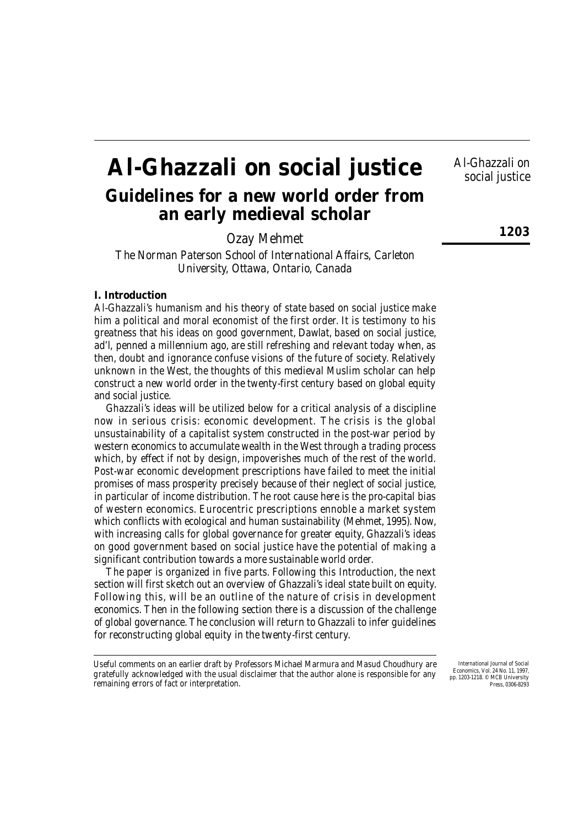# **Al-Ghazzali on social justice Guidelines for a new world order from an early medieval scholar**

Ozay Mehmet

*The Norman Paterson School of International Affairs, Carleton University, Ottawa, Ontario, Canada*

# **I. Introduction**

Al-Ghazzali's humanism and his theory of state based on social justice make him a political and moral economist of the first order. It is testimony to his greatness that his ideas on good government, *Dawlat*, based on social justice, *ad'l,* penned a millennium ago, are still refreshing and relevant today when, as then, doubt and ignorance confuse visions of the future of society. Relatively unknown in the West, the thoughts of this medieval Muslim scholar can help construct a new world order in the twenty-first century based on global equity and social justice.

Ghazzali's ideas will be utilized below for a critical analysis of a discipline now in serious crisis: *economic development.* The crisis is the global unsustainability of a capitalist system constructed in the post-war period by western economics to accumulate wealth in the West through a trading process which, by effect if not by design, impoverishes much of the rest of the world. Post-war economic development prescriptions have failed to meet the initial promises of mass prosperity precisely because of their neglect of social justice, in particular of income distribution. The root cause here is the pro-capital bias of western economics. Eurocentric prescriptions ennoble a market system which conflicts with ecological and human sustainability (Mehmet, 1995). Now, with increasing calls for global governance for greater equity, Ghazzali's ideas on good government based on social justice have the potential of making a significant contribution towards a more sustainable world order.

The paper is organized in five parts. Following this Introduction, the next section will first sketch out an overview of Ghazzali's ideal state built on equity. Following this, will be an outline of the nature of crisis in development economics. Then in the following section there is a discussion of the challenge of global governance. The conclusion will return to Ghazzali to infer guidelines for reconstructing global equity in the twenty-first century.

International Journal of Social Economics, Vol. 24 No. 11, 1997, pp. 1203-1218. © MCB University Press, 0306-8293

Al-Ghazzali on social justice

Useful comments on an earlier draft by Professors Michael Marmura and Masud Choudhury are gratefully acknowledged with the usual disclaimer that the author alone is responsible for any remaining errors of fact or interpretation.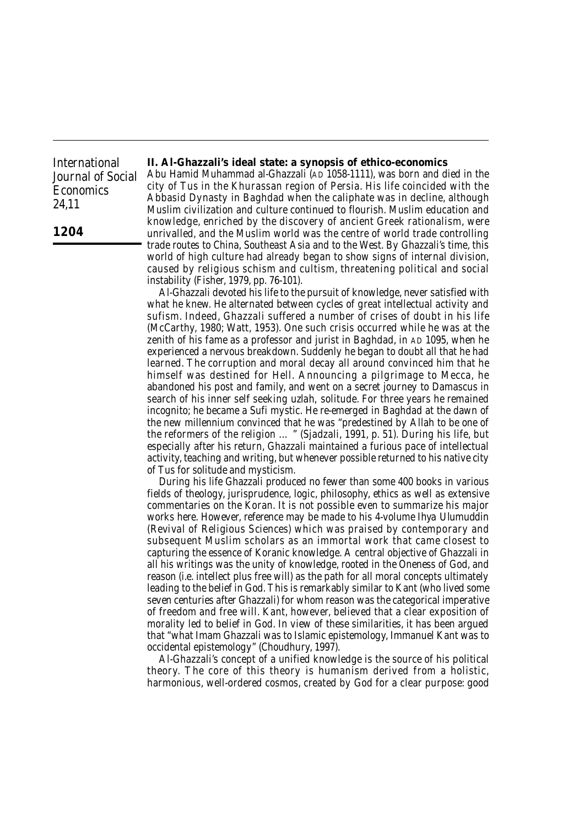**1204**

# **II. Al-Ghazzali's ideal state: a synopsis of ethico-economics**

Abu Hamid Muhammad al-Ghazzali (AD 1058-1111), was born and died in the city of Tus in the Khurassan region of Persia. His life coincided with the Abbasid Dynasty in Baghdad when the caliphate was in decline, although Muslim civilization and culture continued to flourish. Muslim education and knowledge, enriched by the discovery of ancient Greek rationalism, were unrivalled, and the Muslim world was the centre of world trade controlling trade routes to China, Southeast Asia and to the West. By Ghazzali's time, this world of high culture had already began to show signs of internal division, caused by religious schism and cultism, threatening political and social instability (Fisher, 1979, pp. 76-101).

Al-Ghazzali devoted his life to the pursuit of knowledge, never satisfied with what he knew. He alternated between cycles of great intellectual activity and sufism. Indeed, Ghazzali suffered a number of crises of doubt in his life (McCarthy, 1980; Watt, 1953). One such crisis occurred while he was at the zenith of his fame as a professor and jurist in Baghdad, in AD 1095, when he experienced a nervous breakdown. Suddenly he began to doubt all that he had learned. The corruption and moral decay all around convinced him that he himself was destined for Hell. Announcing a pilgrimage to Mecca, he abandoned his post and family, and went on a secret journey to Damascus in search of his inner self seeking *uzlah,* solitude. For three years he remained incognito; he became a Sufi mystic. He re-emerged in Baghdad at the dawn of the new millennium convinced that he was "predestined by Allah to be one of the reformers of the religion … " (Sjadzali, 1991, p. 51). During his life, but especially after his return, Ghazzali maintained a furious pace of intellectual activity, teaching and writing, but whenever possible returned to his native city of Tus for solitude and mysticism.

During his life Ghazzali produced no fewer than some 400 books in various fields of theology, jurisprudence, logic, philosophy, ethics as well as extensive commentaries on the Koran. It is not possible even to summarize his major works here. However, reference may be made to his 4-volume *Ihya Ulumuddin* (*Revival of Religious Sciences*) which was praised by contemporary and subsequent Muslim scholars as an immortal work that came closest to capturing the essence of Koranic knowledge. A central objective of Ghazzali in all his writings was the unity of knowledge, rooted in the Oneness of God, and reason (i.e. intellect plus free will) as the path for all moral concepts ultimately leading to the belief in God. This is remarkably similar to Kant (who lived some seven centuries after Ghazzali) for whom reason was the categorical imperative of freedom and free will. Kant, however, believed that a clear exposition of morality led to belief in God. In view of these similarities, it has been argued that "what Imam Ghazzali was to Islamic epistemology, Immanuel Kant was to occidental epistemology" (Choudhury, 1997).

Al-Ghazzali's concept of a unified knowledge is the source of his political theory. The core of this theory is humanism derived from a holistic, harmonious, well-ordered cosmos, created by God for a clear purpose: good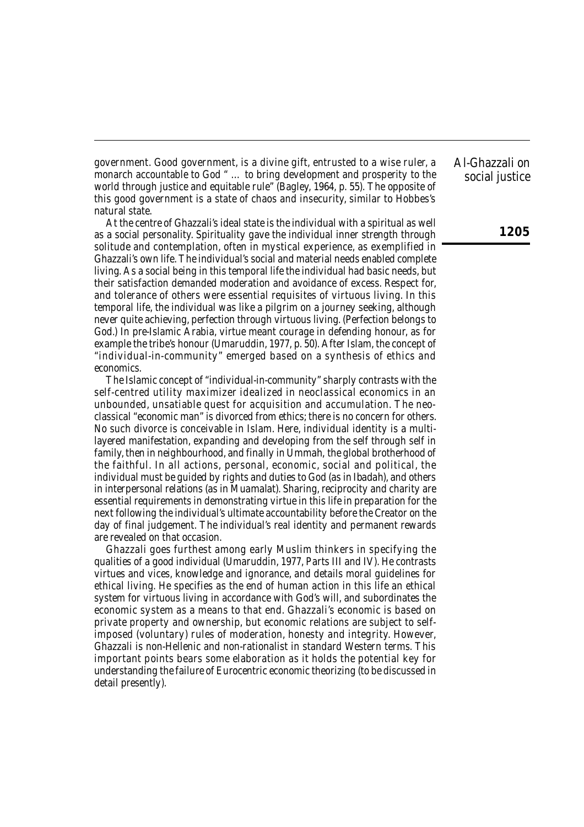government. Good government, is a divine gift, entrusted to a wise ruler, a monarch accountable to God " … to bring development and prosperity to the world through justice and equitable rule" (Bagley, 1964, p. 55). The opposite of this good government is a state of chaos and insecurity, similar to Hobbes's natural state.

At the centre of Ghazzali's ideal state is the individual with a spiritual as well as a social personality. Spirituality gave the individual inner strength through solitude and contemplation, often in mystical experience, as exemplified in Ghazzali's own life. The individual's social and material needs enabled complete living. As a social being in this temporal life the individual had basic needs, but their satisfaction demanded moderation and avoidance of excess. Respect for, and tolerance of others were essential requisites of virtuous living. In this temporal life, the individual was like a pilgrim on a journey seeking, although never quite achieving, perfection through virtuous living. (Perfection belongs to God.) In pre-Islamic Arabia, virtue meant courage in defending honour, as for example the tribe's honour (Umaruddin, 1977, p. 50). After Islam, the concept of "individual-in-community" emerged based on a synthesis of ethics and economics.

The Islamic concept of "individual-in-community" sharply contrasts with the self-centred utility maximizer idealized in neoclassical economics in an unbounded, unsatiable quest for acquisition and accumulation. The neoclassical "economic man" is divorced from ethics; there is no concern for others. No such divorce is conceivable in Islam. Here, individual identity is a multilayered manifestation, expanding and developing from the self through self in family, then in neighbourhood, and finally in *Ummah,* the global brotherhood of the faithful. In all actions, personal, economic, social and political, the individual must be guided by rights and duties to God (as in *Ibadah*), and others in interpersonal relations (as in *Muamalat*). Sharing, reciprocity and charity are essential requirements in demonstrating virtue in this life in preparation for the next following the individual's ultimate accountability before the Creator on the day of final judgement. The individual's real identity and permanent rewards are revealed on that occasion.

Ghazzali goes furthest among early Muslim thinkers in specifying the qualities of a good individual (Umaruddin, 1977, Parts III and IV). He contrasts virtues and vices, knowledge and ignorance, and details moral guidelines for ethical living. He specifies as the end of human action in this life an ethical system for virtuous living in accordance with God's will, and subordinates the economic system as a means to that end. Ghazzali's economic is based on private property and ownership, but economic relations are subject to selfimposed (voluntary) rules of moderation, honesty and integrity. However, Ghazzali is non-Hellenic and non-rationalist in standard Western terms. This important points bears some elaboration as it holds the potential key for understanding the failure of Eurocentric economic theorizing (to be discussed in detail presently).

Al-Ghazzali on social justice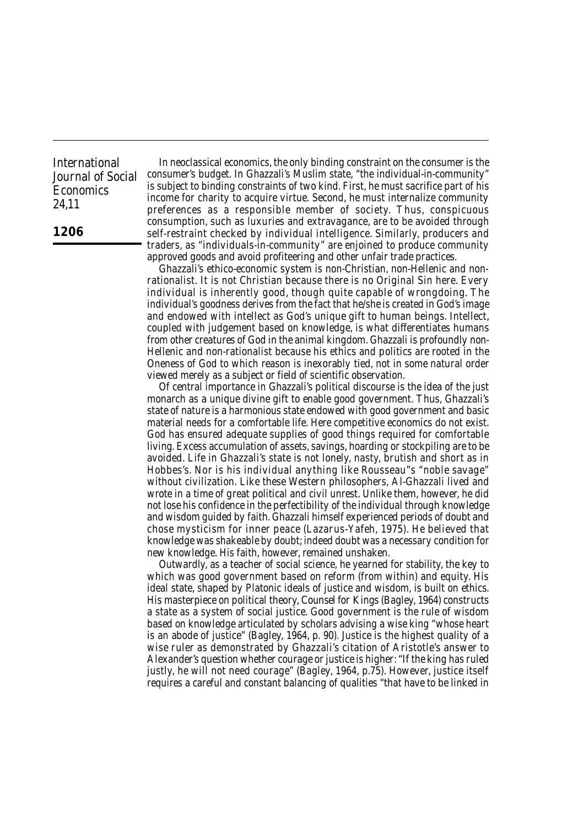**1206**

In neoclassical economics, the only binding constraint on the consumer is the consumer's budget. In Ghazzali's Muslim state, "the individual-in-community" is subject to binding constraints of two kind. First, he must sacrifice part of his income for charity to acquire virtue. Second, he must internalize community preferences as a responsible member of society. Thus, conspicuous consumption, such as luxuries and extravagance, are to be avoided through self-restraint checked by individual intelligence. Similarly, producers and traders, as "individuals-in-community" are enjoined to produce community approved goods and avoid profiteering and other unfair trade practices.

Ghazzali's ethico-economic system is non-Christian, non-Hellenic and nonrationalist. It is not Christian because there is no Original Sin here. Every individual is inherently good, though quite capable of wrongdoing. The individual's goodness derives from the fact that he/she is created in God's image and endowed with intellect as God's unique gift to human beings. Intellect, coupled with judgement based on knowledge, is what differentiates humans from other creatures of God in the animal kingdom. Ghazzali is profoundly non-Hellenic and non-rationalist because his ethics and politics are rooted in the Oneness of God to which reason is inexorably tied, not in some natural order viewed merely as a subject or field of scientific observation.

Of central importance in Ghazzali's political discourse is the idea of the just monarch as a unique divine gift to enable good government. Thus, Ghazzali's state of nature is a harmonious state endowed with good government and basic material needs for a comfortable life. Here competitive economics do not exist. God has ensured adequate supplies of good things required for comfortable living. Excess accumulation of assets, savings, hoarding or stockpiling are to be avoided. Life in Ghazzali's state is not lonely, nasty, brutish and short as in Hobbes's. Nor is his individual anything like Rousseau"s "noble savage" without civilization. Like these Western philosophers, Al-Ghazzali lived and wrote in a time of great political and civil unrest. Unlike them, however, he did not lose his confidence in the perfectibility of the individual through knowledge and wisdom guided by faith. Ghazzali himself experienced periods of doubt and chose mysticism for inner peace (Lazarus-Yafeh, 1975). He believed that knowledge was shakeable by doubt; indeed doubt was a necessary condition for new knowledge. His faith, however, remained unshaken.

Outwardly, as a teacher of social science, he yearned for stability, the key to which was good government based on reform (from within) and equity. His ideal state, shaped by Platonic ideals of justice and wisdom, is built on ethics. His masterpiece on political theory, *Counsel for Kings* (Bagley, 1964) constructs a state as a system of social justice. Good government is the rule of wisdom based on knowledge articulated by scholars advising a wise king "whose heart is an abode of justice" (Bagley, 1964, p. 90). Justice is the highest quality of a wise ruler as demonstrated by Ghazzali's citation of Aristotle's answer to Alexander's question whether courage or justice is higher: "If the king has ruled justly, he will not need courage" (Bagley, 1964, p.75). However, justice itself requires a careful and constant balancing of qualities "that have to be linked in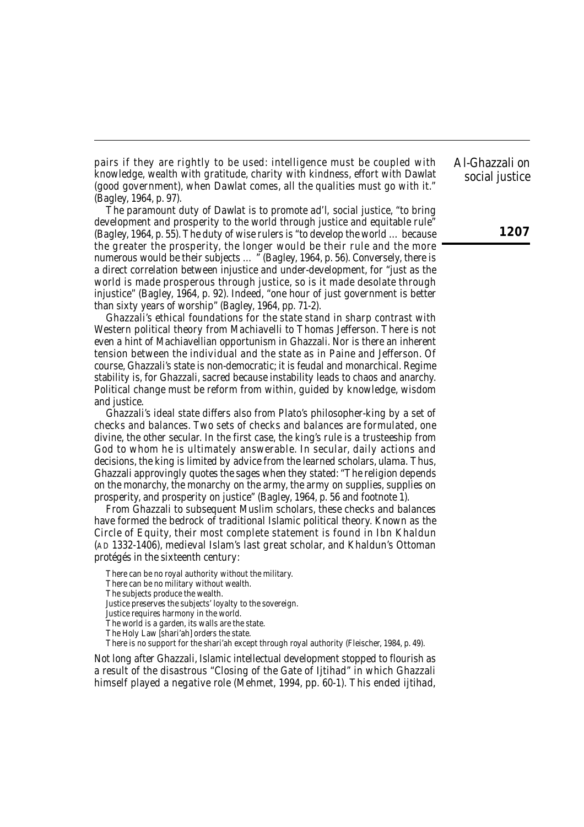pairs if they are rightly to be used: intelligence must be coupled with knowledge, wealth with gratitude, charity with kindness, effort with *Dawlat* (good government), when *Dawlat* comes, all the qualities must go with it." (Bagley, 1964, p. 97).

The paramount duty of *Dawlat* is to promote *ad'l,* social justice, "to bring development and prosperity to the world through justice and equitable rule" (Bagley, 1964, p. 55). The duty of wise rulers is "to develop the world … because the greater the prosperity, the longer would be their rule and the more numerous would be their subjects … " (Bagley, 1964, p. 56). Conversely, there is a direct correlation between injustice and under-development, for "just as the world is made prosperous through justice, so is it made desolate through injustice" (Bagley, 1964, p. 92). Indeed, "one hour of just government is better than sixty years of worship" (Bagley, 1964, pp. 71-2).

Ghazzali's ethical foundations for the state stand in sharp contrast with Western political theory from Machiavelli to Thomas Jefferson. There is not even a hint of Machiavellian opportunism in Ghazzali. Nor is there an inherent tension between the individual and the state as in Paine and Jefferson. Of course, Ghazzali's state is non-democratic; it is feudal and monarchical. Regime stability is, for Ghazzali, sacred because instability leads to chaos and anarchy. Political change must be reform from within, guided by knowledge, wisdom and justice.

Ghazzali's ideal state differs also from Plato's philosopher-king by a set of checks and balances. Two sets of checks and balances are formulated, one divine, the other secular. In the first case, the king's rule is a trusteeship from God to whom he is ultimately answerable. In secular, daily actions and decisions, the king is limited by advice from the learned scholars, *ulama.* Thus, Ghazzali approvingly quotes the sages when they stated: "The religion depends on the monarchy, the monarchy on the army, the army on supplies, supplies on prosperity, and prosperity on justice" (Bagley, 1964, p. 56 and footnote 1).

From Ghazzali to subsequent Muslim scholars, these checks and balances have formed the bedrock of traditional Islamic political theory. Known as the Circle of Equity, their most complete statement is found in Ibn Khaldun (AD 1332-1406), medieval Islam's last great scholar, and Khaldun's Ottoman protégés in the sixteenth century:

Not long after Ghazzali, Islamic intellectual development stopped to flourish as a result of the disastrous "Closing of the Gate of Ijtihad" in which Ghazzali himself played a negative role (Mehmet, 1994, pp. 60-1). This ended *ijtihad,*

Al-Ghazzali on social justice

There can be no royal authority without the military. There can be no military without wealth. The subjects produce the wealth. Justice preserves the subjects' loyalty to the sovereign. Justice requires harmony in the world. The world is a garden, its walls are the state. The Holy Law [shari'ah] orders the state. There is no support for the shari'ah except through royal authority (Fleischer, 1984, p. 49).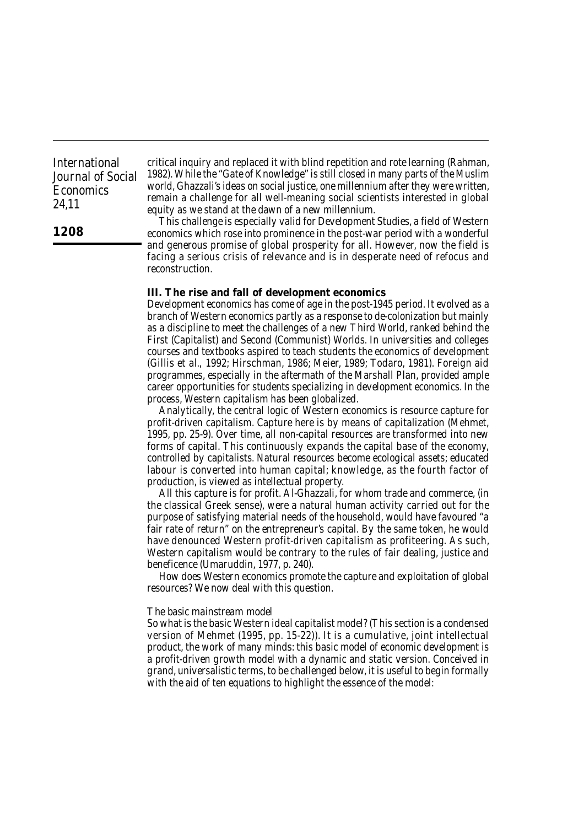**1208**

critical inquiry and replaced it with blind repetition and rote learning (Rahman, 1982). While the "Gate of Knowledge" is still closed in many parts of the Muslim world, Ghazzali's ideas on social justice, one millennium after they were written, remain a challenge for all well-meaning social scientists interested in global equity as we stand at the dawn of a new millennium.

This challenge is especially valid for Development Studies, a field of Western economics which rose into prominence in the post-war period with a wonderful and generous promise of global prosperity for all. However, now the field is facing a serious crisis of relevance and is in desperate need of refocus and reconstruction.

## **III. The rise and fall of development economics**

Development economics has come of age in the post-1945 period. It evolved as a branch of Western economics partly as a response to de-colonization but mainly as a discipline to meet the challenges of a new Third World, ranked behind the First (Capitalist) and Second (Communist) Worlds. In universities and colleges courses and textbooks aspired to teach students the economics of development (Gillis *et al.,* 1992; Hirschman, 1986; Meier, 1989; Todaro, 1981). Foreign aid programmes, especially in the aftermath of the Marshall Plan, provided ample career opportunities for students specializing in development economics. In the process, Western capitalism has been globalized.

Analytically, the central logic of Western economics is resource capture for profit-driven capitalism. Capture here is by means of capitalization (Mehmet, 1995, pp. 25-9). Over time, all non-capital resources are transformed into new forms of capital. This continuously expands the capital base of the economy, controlled by capitalists. Natural resources become ecological assets; educated labour is converted into human capital; knowledge, as the fourth factor of production, is viewed as intellectual property.

All this capture is for profit. Al-Ghazzali, for whom trade and commerce, (in the classical Greek sense), were a natural human activity carried out for the purpose of satisfying material needs of the household, would have favoured "a fair rate of return" on the entrepreneur's capital. By the same token, he would have denounced Western profit-driven capitalism as profiteering. As such, Western capitalism would be contrary to the rules of fair dealing, justice and beneficence (Umaruddin, 1977, p. 240).

How does Western economics promote the capture and exploitation of global resources? We now deal with this question.

#### *The basic mainstream model*

So what is the basic Western ideal capitalist model? (This section is a condensed version of Mehmet (1995, pp. 15-22)). It is a cumulative, joint intellectual product, the work of many minds: this basic model of economic development is a profit-driven growth model with a dynamic and static version. Conceived in grand, universalistic terms, to be challenged below, it is useful to begin formally with the aid of ten equations to highlight the essence of the model: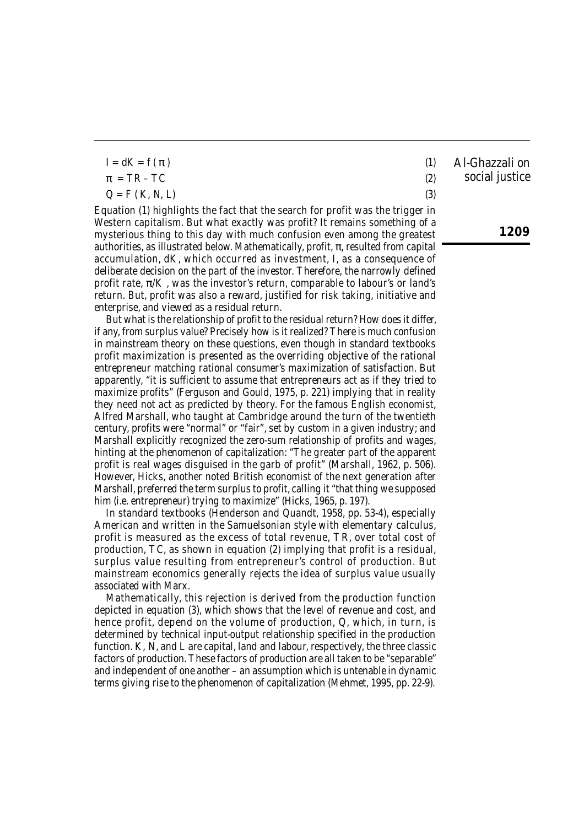| $l = dK = f(\pi)$ | $(1)$ Al-Ghazzali on |
|-------------------|----------------------|
| $\pi$ = TR-TC     | social justice       |
| $Q = F(K, N, L)$  |                      |

Equation (1) highlights the fact that the search for profit was the trigger in Western capitalism. But what exactly was profit? It remains something of a mysterious thing to this day with much confusion even among the greatest authorities, as illustrated below. Mathematically, profit, π, resulted from capital accumulation, *dK*, which occurred as investment, *I*, as a consequence of deliberate decision on the part of the investor. Therefore, the narrowly defined profit rate,  $\pi/K$ , was the investor's return, comparable to labour's or land's return. But, profit was also a reward, justified for risk taking, initiative and enterprise, and viewed as a residual return.

But what is the relationship of profit to the residual return? How does it differ, if any, from surplus value? Precisely how is it realized? There is much confusion in mainstream theory on these questions, even though in standard textbooks profit maximization is presented as the overriding objective of the rational entrepreneur matching rational consumer's maximization of satisfaction. But apparently, "it is sufficient to assume that entrepreneurs act as if they tried to maximize profits" (Ferguson and Gould, 1975, p. 221) implying that in reality they need not act as predicted by theory. For the famous English economist, Alfred Marshall, who taught at Cambridge around the turn of the twentieth century, profits were "normal" or "fair", set by custom in a given industry; and Marshall explicitly recognized the zero-sum relationship of profits and wages, hinting at the phenomenon of capitalization: "The greater part of the apparent profit is real wages disguised in the garb of profit" (Marshall, 1962, p. 506). However, Hicks, another noted British economist of the next generation after Marshall, preferred the term surplus to profit, calling it "that thing we supposed him (i.e. entrepreneur) trying to maximize" (Hicks, 1965, p. 197).

In standard textbooks (Henderson and Quandt, 1958, pp. 53-4), especially American and written in the Samuelsonian style with elementary calculus, profit is measured as the excess of total revenue, *TR*, over total cost of production, *TC*, as shown in equation (2) implying that profit is a residual, surplus value resulting from entrepreneur's control of production. But mainstream economics generally rejects the idea of surplus value usually associated with Marx.

Mathematically, this rejection is derived from the production function depicted in equation (3), which shows that the level of revenue and cost, and hence profit, depend on the volume of production, *Q*, which, in turn, is determined by technical input-output relationship specified in the production function. *K, N*, and *L* are capital, land and labour, respectively, the three classic factors of production. These factors of production are all taken to be "separable" and independent of one another – an assumption which is untenable in dynamic terms giving rise to the phenomenon of capitalization (Mehmet, 1995, pp. 22-9).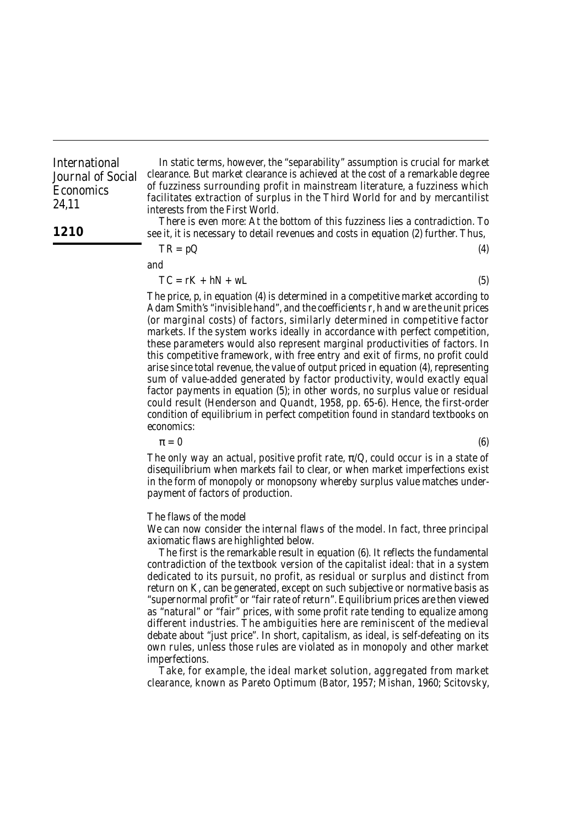**1210**

In static terms, however, the "separability" assumption is crucial for market clearance. But market clearance is achieved at the cost of a remarkable degree of fuzziness surrounding profit in mainstream literature, a fuzziness which facilitates extraction of surplus in the Third World for and by mercantilist interests from the First World.

There is even more: At the bottom of this fuzziness lies a contradiction. To see it, it is necessary to detail revenues and costs in equation (2) further. Thus,

$$
TR = \rho Q \tag{4}
$$

and

 $TC = rK + hN + wL$  (5)

The price,  $\rho$ , in equation (4) is determined in a competitive market according to Adam Smith's "invisible hand", and the coefficients *r*, *h* and *w* are the unit prices (or marginal costs) of factors, similarly determined in competitive factor markets. If the system works ideally in accordance with perfect competition, these parameters would also represent marginal productivities of factors. In this competitive framework, with free entry and exit of firms, no profit could arise since total revenue, the value of output priced in equation (4), representing sum of value-added generated by factor productivity, would exactly equal factor payments in equation (5); in other words, no surplus value or residual could result (Henderson and Quandt, 1958, pp. 65-6). Hence, the first-order condition of equilibrium in perfect competition found in standard textbooks on economics:

 $\pi = 0$  (6)

The only way an actual, positive profit rate,  $\pi/Q$ , could occur is in a state of disequilibrium when markets fail to clear, or when market imperfections exist in the form of monopoly or monopsony whereby surplus value matches underpayment of factors of production.

#### *The flaws of the model*

We can now consider the internal flaws of the model. In fact, three principal axiomatic flaws are highlighted below.

The first is the remarkable result in equation (6). It reflects the fundamental contradiction of the textbook version of the capitalist ideal: that in a system dedicated to its pursuit, no profit, as residual or surplus and distinct from return on *K*, can be generated, except on such subjective or normative basis as "supernormal profit" or "fair rate of return". Equilibrium prices are then viewed as "natural" or "fair" prices, with some profit rate tending to equalize among different industries. The ambiguities here are reminiscent of the medieval debate about "just price". In short, capitalism, as ideal, is self-defeating on its own rules, unless those rules are violated as in monopoly and other market imperfections.

Take, for example, the ideal market solution, aggregated from market clearance, known as Pareto Optimum (Bator, 1957; Mishan, 1960; Scitovsky,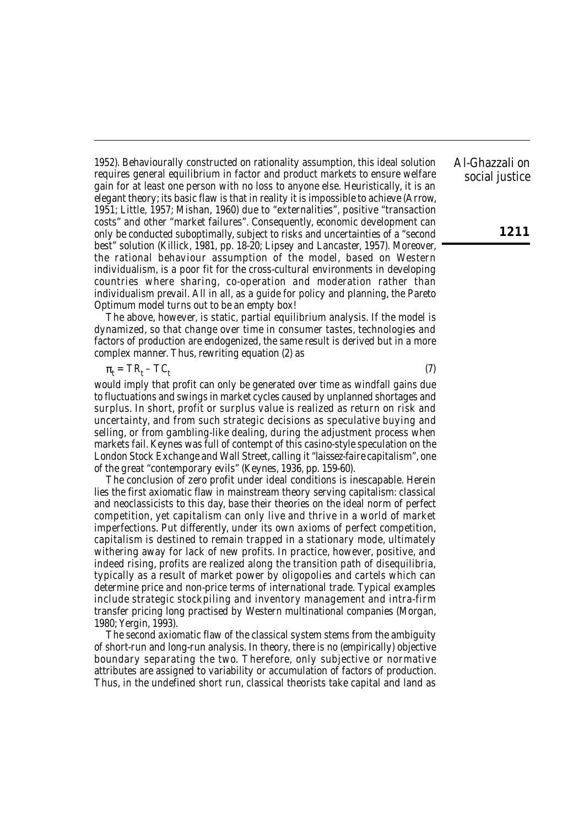1952). Behaviourally constructed on rationality assumption, this ideal solution requires general equilibrium in factor and product markets to ensure welfare gain for at least one person with no loss to anyone else. Heuristically, it is an elegant theory; its basic flaw is that in reality it is impossible to achieve (Arrow, 1951; Little, 1957; Mishan, 1960) due to "externalities", positive "transaction costs" and other "market failures". Consequently, economic development can only be conducted suboptimally, subject to risks and uncertainties of a "second best" solution (Killick, 1981, pp. 18-20; Lipsey and Lancaster, 1957). Moreover, the rational behaviour assumption of the model, based on Western individualism, is a poor fit for the cross-cultural environments in developing countries where sharing, co-operation and moderation rather than individualism prevail. All in all, as a guide for policy and planning, the Pareto Optimum model turns out to be an empty box!

The above, however, is static, partial equilibrium analysis. If the model is dynamized, so that change over time in consumer tastes, technologies and factors of production are endogenized, the same result is derived but in a more complex manner. Thus, rewriting equation (2) as

$$
\pi_t = TR_t - TC_t \tag{7}
$$

would imply that profit can only be generated over time as windfall gains due to fluctuations and swings in market cycles caused by unplanned shortages and surplus. In short, profit or surplus value is realized as return on risk and uncertainty, and from such strategic decisions as speculative buying and selling, or from gambling-like dealing, during the adjustment process when markets fail. Keynes was full of contempt of this casino-style speculation on the London Stock Exchange and Wall Street, calling it "*laissez-faire* capitalism", one of the great "contemporary evils" (Keynes, 1936, pp. 159-60).

The conclusion of zero profit under ideal conditions is inescapable. Herein lies the first axiomatic flaw in mainstream theory serving capitalism: classical and neoclassicists to this day, base their theories on the ideal norm of perfect competition, yet capitalism can only live and thrive in a world of market imperfections. Put differently, under its own axioms of perfect competition, capitalism is destined to remain trapped in a stationary mode, ultimately withering away for lack of new profits. In practice, however, positive, and indeed rising, profits are realized along the transition path of disequilibria, typically as a result of market power by oligopolies and cartels which can determine price and non-price terms of international trade. Typical examples include strategic stockpiling and inventory management and intra-firm transfer pricing long practised by Western multinational companies (Morgan, 1980; Yergin, 1993).

The second axiomatic flaw of the classical system stems from the ambiguity of short-run and long-run analysis. In theory, there is no (empirically) objective boundary separating the two. Therefore, only subjective or normative attributes are assigned to variability or accumulation of factors of production. Thus, in the undefined short run, classical theorists take capital and land as Al-Ghazzali on social justice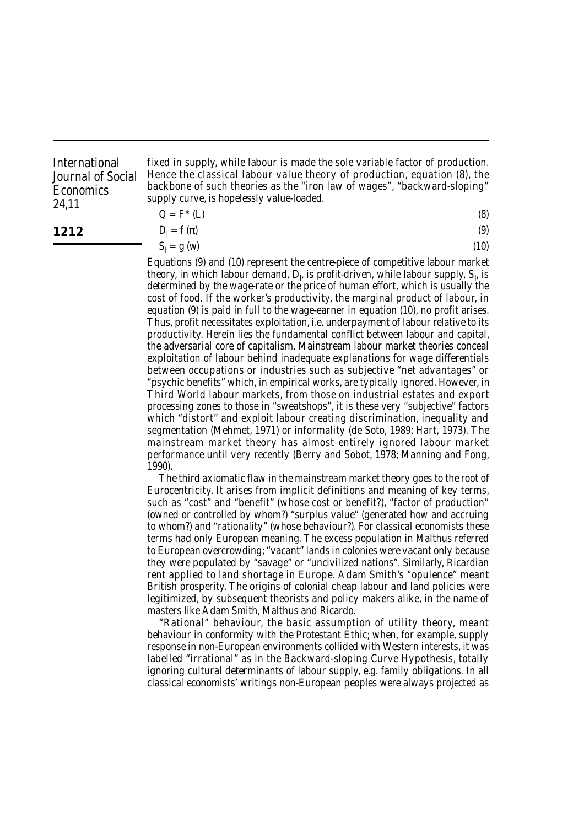fixed in supply, while labour is made the sole variable factor of production. Hence the classical labour value theory of production, equation (8), the backbone of such theories as the "iron law of wages", "backward-sloping" supply curve, is hopelessly value-loaded.

| (8) |
|-----|
|     |

 $D_l = f(\pi)$  (9)

 $S_l = g(w)$  (10)

Equations (9) and (10) represent the centre-piece of competitive labour market theory, in which labour demand,  $D_t$  is profit-driven, while labour supply,  $S_t$  is determined by the wage-rate or the price of human effort, which is usually the cost of food. If the worker's productivity, the marginal product of labour, in equation (9) is paid in full to the wage-earner in equation (10), no profit arises. Thus, profit necessitates exploitation, i.e. underpayment of labour relative to its productivity. Herein lies the fundamental conflict between labour and capital, the adversarial core of capitalism. Mainstream labour market theories conceal exploitation of labour behind inadequate explanations for wage differentials between occupations or industries such as subjective "net advantages" or "psychic benefits" which, in empirical works, are typically ignored. However, in Third World labour markets, from those on industrial estates and export processing zones to those in "sweatshops", it is these very "subjective" factors which "distort" and exploit labour creating discrimination, inequality and segmentation (Mehmet, 1971) or informality (de Soto, 1989; Hart, 1973). The mainstream market theory has almost entirely ignored labour market performance until very recently (Berry and Sobot, 1978; Manning and Fong, 1990).

The third axiomatic flaw in the mainstream market theory goes to the root of Eurocentricity. It arises from implicit definitions and meaning of key terms, such as "cost" and "benefit" (whose cost or benefit?), "factor of production" (owned or controlled by whom?) "surplus value" (generated how and accruing to whom?) and "rationality" (whose behaviour?). For classical economists these terms had only European meaning. The excess population in Malthus referred to European overcrowding; "vacant" lands in colonies were vacant only because they were populated by "savage" or "uncivilized nations". Similarly, Ricardian rent applied to land shortage in Europe. Adam Smith's "opulence" meant British prosperity. The origins of colonial cheap labour and land policies were legitimized, by subsequent theorists and policy makers alike, in the name of masters like Adam Smith, Malthus and Ricardo.

"Rational" behaviour, the basic assumption of utility theory, meant behaviour in conformity with the Protestant Ethic; when, for example, supply response in non-European environments collided with Western interests, it was labelled "irrational" as in the Backward-sloping Curve Hypothesis, totally ignoring cultural determinants of labour supply, e.g. family obligations. In all classical economists' writings non-European peoples were always projected as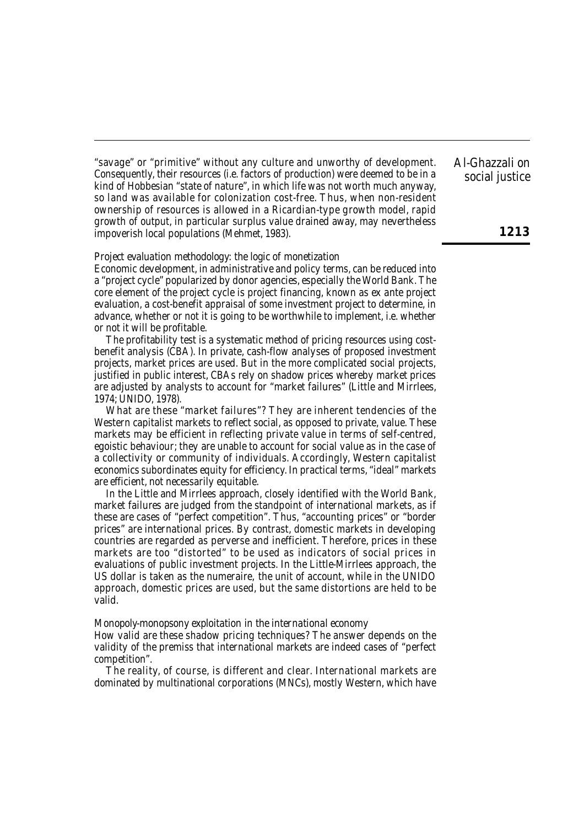"savage" or "primitive" without any culture and unworthy of development. Consequently, their resources (i.e. factors of production) were deemed to be in a kind of Hobbesian "state of nature", in which life was not worth much anyway, so land was available for colonization cost-free. Thus, when non-resident ownership of resources is allowed in a Ricardian-type growth model, rapid growth of output, in particular surplus value drained away, may nevertheless impoverish local populations (Mehmet, 1983).

## *Project evaluation methodology: the logic of monetization*

Economic development, in administrative and policy terms, can be reduced into a "project cycle" popularized by donor agencies, especially the World Bank. The core element of the project cycle is project financing, known as *ex ante* project evaluation, a cost-benefit appraisal of some investment project to determine, in advance, whether or not it is going to be worthwhile to implement, i.e. whether or not it will be profitable.

The profitability test is a systematic method of pricing resources using costbenefit analysis (CBA). In private, cash-flow analyses of proposed investment projects, market prices are used. But in the more complicated social projects, justified in public interest, CBAs rely on shadow prices whereby market prices are adjusted by analysts to account for "market failures" (Little and Mirrlees, 1974; UNIDO, 1978).

What are these "market failures"? They are inherent tendencies of the Western capitalist markets to reflect social, as opposed to private, value. These markets may be efficient in reflecting private value in terms of self-centred, egoistic behaviour; they are unable to account for social value as in the case of a collectivity or community of individuals. Accordingly, Western capitalist economics subordinates equity for efficiency. In practical terms, "ideal" markets are efficient, not necessarily equitable.

In the Little and Mirrlees approach, closely identified with the World Bank, market failures are judged from the standpoint of international markets, as if these are cases of "perfect competition". Thus, "accounting prices" or "border prices" are international prices. By contrast, domestic markets in developing countries are regarded as perverse and inefficient. Therefore, prices in these markets are too "distorted" to be used as indicators of social prices in evaluations of public investment projects. In the Little-Mirrlees approach, the US dollar is taken as the numeraire*,* the unit of account, while in the UNIDO approach, domestic prices are used, but the same distortions are held to be valid.

### *Monopoly-monopsony exploitation in the international economy*

How valid are these shadow pricing techniques? The answer depends on the validity of the premiss that international markets are indeed cases of "perfect competition".

The reality, of course, is different and clear. International markets are dominated by multinational corporations (MNCs), mostly Western, which have Al-Ghazzali on social justice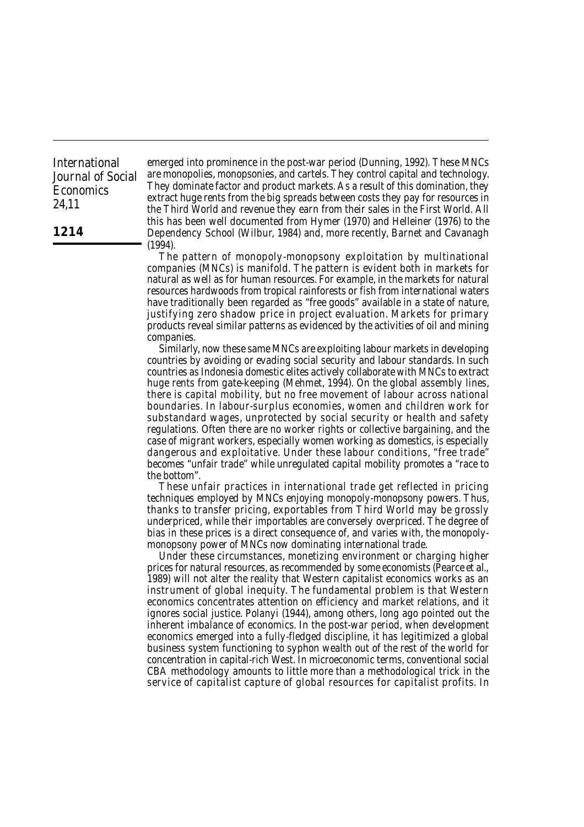**1214**

emerged into prominence in the post-war period (Dunning, 1992). These MNCs are monopolies, monopsonies, and cartels. They control capital and technology. They dominate factor and product markets. As a result of this domination, they extract huge rents from the big spreads between costs they pay for resources in the Third World and revenue they earn from their sales in the First World. All this has been well documented from Hymer (1970) and Helleiner (1976) to the Dependency School (Wilbur, 1984) and, more recently, Barnet and Cavanagh (1994).

The pattern of monopoly-monopsony exploitation by multinational companies (MNCs) is manifold. The pattern is evident both in markets for natural as well as for human resources. For example, in the markets for natural resources hardwoods from tropical rainforests or fish from international waters have traditionally been regarded as "free goods" available in a state of nature, justifying zero shadow price in project evaluation. Markets for primary products reveal similar patterns as evidenced by the activities of oil and mining companies.

Similarly, now these same MNCs are exploiting labour markets in developing countries by avoiding or evading social security and labour standards. In such countries as Indonesia domestic elites actively collaborate with MNCs to extract huge rents from gate-keeping (Mehmet, 1994). On the global assembly lines, there is capital mobility, but no free movement of labour across national boundaries. In labour-surplus economies, women and children work for substandard wages, unprotected by social security or health and safety regulations. Often there are no worker rights or collective bargaining, and the case of migrant workers, especially women working as domestics, is especially dangerous and exploitative. Under these labour conditions, "free trade" becomes "unfair trade" while unregulated capital mobility promotes a "race to the bottom".

These unfair practices in international trade get reflected in pricing techniques employed by MNCs enjoying monopoly-monopsony powers. Thus, thanks to transfer pricing, exportables from Third World may be grossly underpriced, while their importables are conversely overpriced. The degree of bias in these prices is a direct consequence of, and varies with, the monopolymonopsony power of MNCs now dominating international trade.

Under these circumstances, monetizing environment or charging higher prices for natural resources, as recommended by some economists (Pearce *et al.,* 1989) will not alter the reality that Western capitalist economics works as an instrument of global inequity. The fundamental problem is that Western economics concentrates attention on efficiency and market relations, and it ignores social justice. Polanyi (1944), among others, long ago pointed out the inherent imbalance of economics. In the post-war period, when development economics emerged into a fully-fledged discipline, it has legitimized a global business system functioning to syphon wealth out of the rest of the world for concentration in capital-rich West. In microeconomic terms, conventional social CBA methodology amounts to little more than a methodological trick in the service of capitalist capture of global resources for capitalist profits. In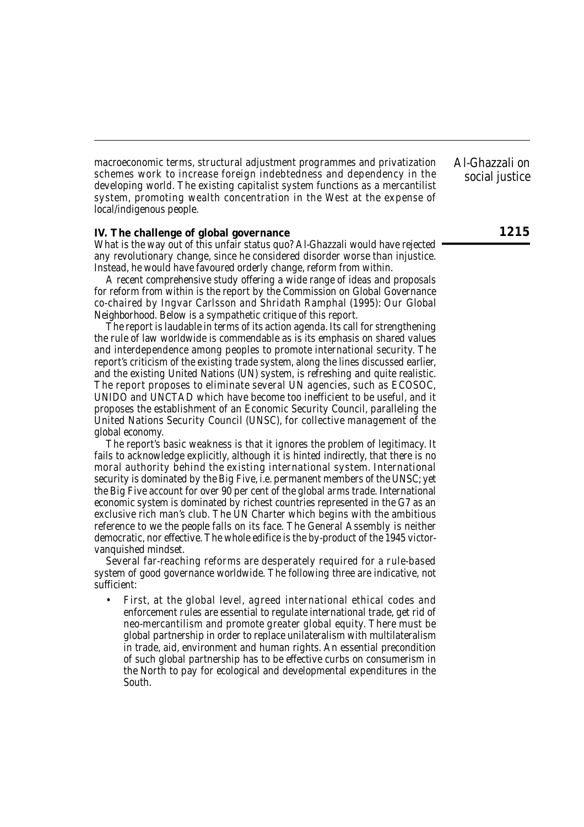macroeconomic terms, structural adjustment programmes and privatization schemes work to increase foreign indebtedness and dependency in the developing world. The existing capitalist system functions as a mercantilist system, promoting wealth concentration in the West at the expense of local/indigenous people.

## **IV. The challenge of global governance**

What is the way out of this unfair status quo? Al-Ghazzali would have rejected any revolutionary change, since he considered disorder worse than injustice. Instead, he would have favoured orderly change, reform from within.

A recent comprehensive study offering a wide range of ideas and proposals for reform from within is the report by the Commission on Global Governance co-chaired by Ingvar Carlsson and Shridath Ramphal (1995): *Our Global Neighborhood.* Below is a sympathetic critique of this report.

The report is laudable in terms of its action agenda. Its call for strengthening the rule of law worldwide is commendable as is its emphasis on shared values and interdependence among peoples to promote international security. The report's criticism of the existing trade system, along the lines discussed earlier, and the existing United Nations (UN) system, is refreshing and quite realistic. The report proposes to eliminate several UN agencies, such as ECOSOC, UNIDO and UNCTAD which have become too inefficient to be useful, and it proposes the establishment of an Economic Security Council, paralleling the United Nations Security Council (UNSC), for collective management of the global economy.

The report's basic weakness is that it ignores the problem of legitimacy. It fails to acknowledge explicitly, although it is hinted indirectly, that there is no moral authority behind the existing international system. International security is dominated by the Big Five, i.e. permanent members of the UNSC; yet the Big Five account for over 90 per cent of the global arms trade. International economic system is dominated by richest countries represented in the G7 as an exclusive rich man's club. The UN Charter which begins with the ambitious reference to *we the people* falls on its face. The General Assembly is neither democratic, nor effective. The whole edifice is the by-product of the 1945 victorvanquished mindset.

Several far-reaching reforms are desperately required for a rule-based system of good governance worldwide. The following three are indicative, not sufficient:

• First, at the global level, agreed international ethical codes and enforcement rules are essential to regulate international trade, get rid of neo-mercantilism and promote greater global equity. There must be global partnership in order to replace unilateralism with multilateralism in trade, aid, environment and human rights. An essential precondition of such global partnership has to be effective curbs on consumerism in the North to pay for ecological and developmental expenditures in the South.

Al-Ghazzali on social justice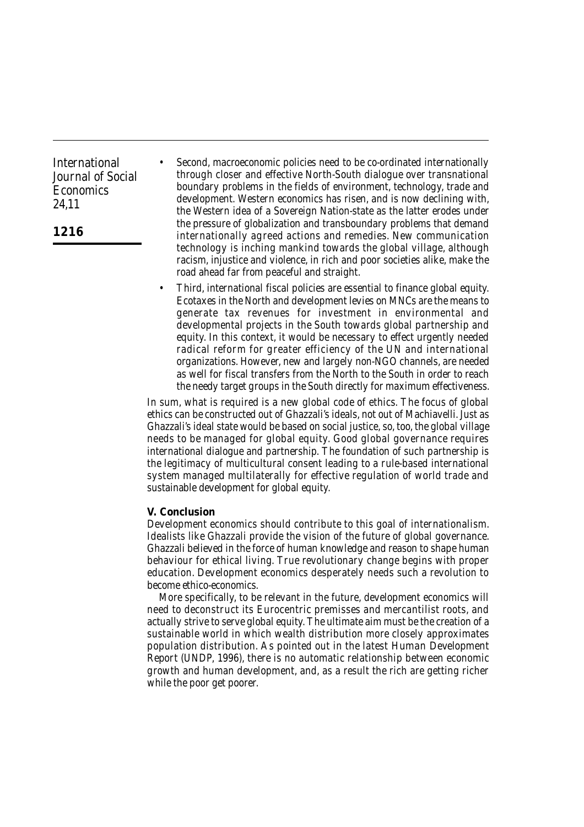**1216**

• Second, macroeconomic policies need to be co-ordinated internationally through closer and effective North-South dialogue over transnational boundary problems in the fields of environment, technology, trade and development. Western economics has risen, and is now declining with, the Western idea of a Sovereign Nation-state as the latter erodes under the pressure of globalization and transboundary problems that demand internationally agreed actions and remedies. New communication technology is inching mankind towards the global village, although racism, injustice and violence, in rich and poor societies alike, make the road ahead far from peaceful and straight.

• Third, international fiscal policies are essential to finance global equity. Ecotaxes in the North and development levies on MNCs are the means to generate tax revenues for investment in environmental and developmental projects in the South towards global partnership and equity. In this context, it would be necessary to effect urgently needed radical reform for greater efficiency of the UN and international organizations. However, new and largely non-NGO channels, are needed as well for fiscal transfers from the North to the South in order to reach the needy target groups in the South directly for maximum effectiveness.

In sum, what is required is a new global code of ethics. The focus of global ethics can be constructed out of Ghazzali's ideals, not out of Machiavelli. Just as Ghazzali's ideal state would be based on social justice, so, too, the global village needs to be managed for global equity. Good global governance requires international dialogue and partnership. The foundation of such partnership is the legitimacy of multicultural consent leading to a rule-based international system managed multilaterally for effective regulation of world trade and sustainable development for global equity.

# **V. Conclusion**

Development economics should contribute to this goal of internationalism. Idealists like Ghazzali provide the vision of the future of global governance. Ghazzali believed in the force of human knowledge and reason to shape human behaviour for ethical living. True revolutionary change begins with proper education. Development economics desperately needs such a revolution to become ethico-economics.

More specifically, to be relevant in the future, development economics will need to deconstruct its Eurocentric premisses and mercantilist roots, and actually strive to serve global equity. The ultimate aim must be the creation of a sustainable world in which wealth distribution more closely approximates population distribution. As pointed out in the latest *Human Development Report* (UNDP, 1996), there is no automatic relationship between economic growth and human development, and, as a result the rich are getting richer while the poor get poorer.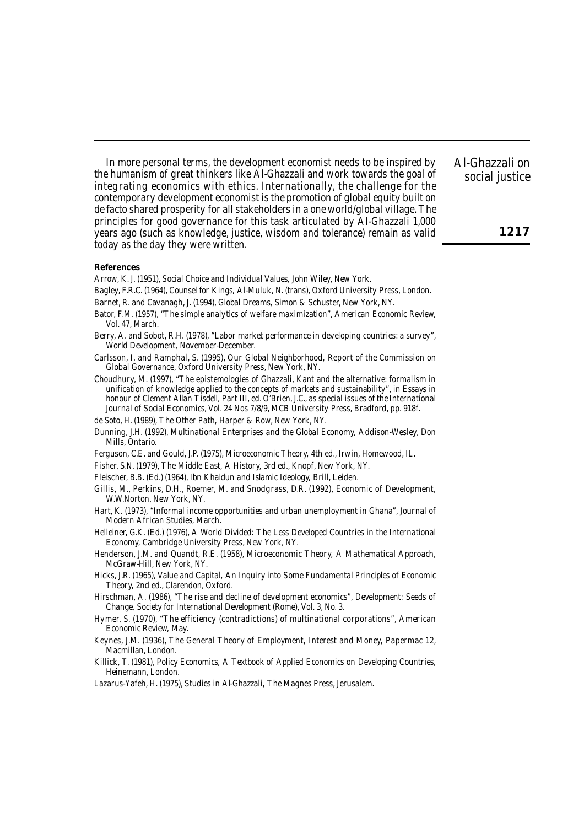In more personal terms, the development economist needs to be inspired by the humanism of great thinkers like Al-Ghazzali and work towards the goal of integrating economics with ethics. Internationally, the challenge for the contemporary development economist is the promotion of global equity built on *de facto* shared prosperity for all stakeholders in a one world/global village. The principles for good governance for this task articulated by Al-Ghazzali 1,000 years ago (such as knowledge, justice, wisdom and tolerance) remain as valid today as the day they were written.

#### **References**

Arrow, K. J. (1951), *Social Choice and Individual Values,* John Wiley, New York.

Bagley, F.R.C. (1964), *Counsel for Kings,* Al-Muluk, N. (trans), Oxford University Press, London.

- Barnet, R. and Cavanagh, J. (1994), *Global Dreams,* Simon & Schuster, New York, NY.
- Bator, F.M. (1957), "The simple analytics of welfare maximization", *American Economic Review,* Vol. 47, March.
- Berry, A. and Sobot, R.H. (1978), "Labor market performance in developing countries: a survey", *World Development,* November-December.
- Carlsson, I. and Ramphal, S. (1995), *Our Global Neighborhood,* Report of the Commission on Global Governance, Oxford University Press, New York, NY.
- Choudhury, M. (1997), "The epistemologies of Ghazzali, Kant and the alternative: formalism in unification of knowledge applied to the concepts of markets and sustainability", in *Essays in honour of Clement Allan Tisdell, Part III*, ed. O'Brien, J.C., as special issues of the *International Journal of Social Economics*, Vol. 24 Nos 7/8/9, MCB University Press, Bradford, pp. 918f.
- de Soto, H. (1989), *The Other Path,* Harper & Row, New York, NY.
- Dunning, J.H. (1992), *Multinational Enterprises and the Global Economy,* Addison-Wesley, Don Mills, Ontario.
- Ferguson, C.E. and Gould, J.P. (1975), *Microeconomic Theory,* 4th ed., Irwin, Homewood, IL.
- Fisher, S.N. (1979), *The Middle East, A History,* 3rd ed., Knopf, New York, NY.

Fleischer, B.B. (Ed.) (1964), *Ibn Khaldun and Islamic Ideology,* Brill, Leiden.

- Gillis, M., Perkins, D.H., Roemer, M. and Snodgrass, D.R. (1992), *Economic of Development,* W.W.Norton, New York, NY.
- Hart, K. (1973), "Informal income opportunities and urban unemployment in Ghana", *Journal of Modern African Studies,* March.
- Helleiner, G.K. (Ed.) (1976), *A World Divided: The Less Developed Countries in the International Economy,* Cambridge University Press, New York, NY.
- Henderson, J.M. and Quandt, R.E. (1958), *Microeconomic Theory, A Mathematical Approach,* McGraw-Hill, New York, NY.
- Hicks, J.R. (1965), *Value and Capital, An Inquiry into Some Fundamental Principles of Economic Theory,* 2nd ed., Clarendon, Oxford.
- Hirschman, A. (1986), "The rise and decline of development economics", *Development: Seeds of Change, Society for International Development* (Rome), Vol. 3, No. 3.
- Hymer, S. (1970), "The efficiency (contradictions) of multinational corporations", *American Economic Review,* May.
- Keynes, J.M. (1936), *The General Theory of Employment, Interest and Money,* Papermac 12, Macmillan, London.
- Killick, T. (1981), *Policy Economics, A Textbook of Applied Economics on Developing Countries,* Heinemann, London.
- Lazarus-Yafeh, H. (1975), *Studies in Al-Ghazzali,* The Magnes Press, Jerusalem.

Al-Ghazzali on social justice